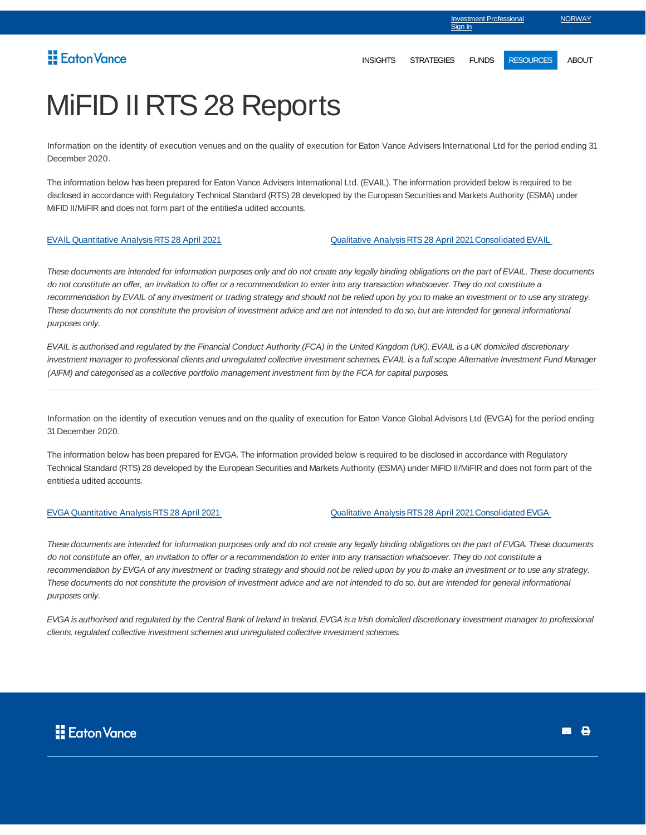## Eaton Vance

Sign In

Investment Professional

**NORWAY** 

# MiFID II RTS 28 Reports

Information on the identity of execution venues and on the quality of execution for Eaton Vance Advisers International Ltd for the period ending 31 December 2020.

The information below has been prepared for Eaton Vance Advisers International Ltd. (EVAIL). The information provided below is required to be disclosed in accordance with Regulatory Technical Standard (RTS) 28 developed by the European Securities and Markets Authority (ESMA) under MiFID II/MiFIR and does not form part of the entities' a udited accounts.

EVAIL Quantitative Analysis RTS 28 April 2021 Qualitative Analysis RTS 28 April 2021 Consolidated EVAIL

These documents are intended for information purposes only and do not create any legally binding obligations on the part of EVAIL. These documents do not constitute an offer, an invitation to offer or a recommendation to enter into any transaction whatsoever. They do not constitute a recommendation by EVAIL of any investment or trading strategy and should not be relied upon by you to make an investment or to use any strategy. These documents do not constitute the provision of investment advice and are not intended to do so, but are intended for general informational purposes only.

EVAIL is authorised and regulated by the Financial Conduct Authority (FCA) in the United Kingdom (UK). EVAIL is a UK domiciled discretionary investment manager to professional clients and unregulated collective investment schemes. EVAIL is a full scope Alternative Investment Fund Manager (AIFM) and categorised as a collective portfolio management investment firm by the FCA for capital purposes.

Information on the identity of execution venues and on the quality of execution for Eaton Vance Global Advisors Ltd (EVGA) for the period ending 31 December 2020.

The information below has been prepared for EVGA. The information provided below is required to be disclosed in accordance with Regulatory Technical Standard (RTS) 28 developed by the European Securities and Markets Authority (ESMA) under MiFID II/MiFIR and does not form part of the entities' a udited accounts.

EVGA Quantitative Analysis RTS 28 April 2021 Qualitative Analysis RTS 28 April 2021 Consolidated EVGA

These documents are intended for information purposes only and do not create any legally binding obligations on the part of EVGA. These documents do not constitute an offer, an invitation to offer or a recommendation to enter into any transaction whatsoever. They do not constitute a recommendation by EVGA of any investment or trading strategy and should not be relied upon by you to make an investment or to use any strategy. These documents do not constitute the provision of investment advice and are not intended to do so, but are intended for general informational purposes only.

EVGA is authorised and regulated by the Central Bank of Ireland in Ireland. EVGA is a Irish domiciled discretionary investment manager to professional clients, regulated collective investment schemes and unregulated collective investment schemes.

**B**